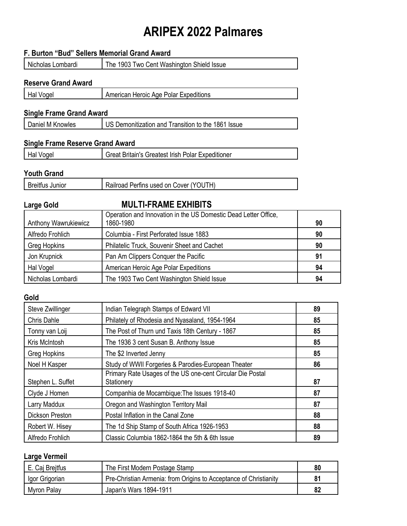# **ARIPEX 2022 Palmares**

|                                         | F. Burton "Bud" Sellers Memorial Grand Award                                 |    |
|-----------------------------------------|------------------------------------------------------------------------------|----|
| Nicholas Lombardi                       | The 1903 Two Cent Washington Shield Issue                                    |    |
| <b>Reserve Grand Award</b>              |                                                                              |    |
| Hal Vogel                               | American Heroic Age Polar Expeditions                                        |    |
|                                         |                                                                              |    |
| <b>Single Frame Grand Award</b>         |                                                                              |    |
| Daniel M Knowles                        | US Demonitization and Transition to the 1861 Issue                           |    |
| <b>Single Frame Reserve Grand Award</b> |                                                                              |    |
| Hal Vogel                               | Great Britain's Greatest Irish Polar Expeditioner                            |    |
|                                         |                                                                              |    |
| <b>Youth Grand</b>                      |                                                                              |    |
| <b>Breitfus Junior</b>                  | Railroad Perfins used on Cover (YOUTH)                                       |    |
| <b>Large Gold</b>                       | <b>MULTI-FRAME EXHIBITS</b>                                                  |    |
| Anthony Wawrukiewicz                    | Operation and Innovation in the US Domestic Dead Letter Office,<br>1860-1980 | 90 |
| Alfredo Frohlich                        | Columbia - First Perforated Issue 1883                                       | 90 |
| <b>Greg Hopkins</b>                     | Philatelic Truck, Souvenir Sheet and Cachet                                  | 90 |
| Jon Krupnick                            | Pan Am Clippers Conquer the Pacific                                          | 91 |
| Hal Vogel                               | American Heroic Age Polar Expeditions                                        | 94 |
| Nicholas Lombardi                       | The 1903 Two Cent Washington Shield Issue                                    | 94 |
| Gold                                    |                                                                              |    |
| Steve Zwillinger                        | Indian Telegraph Stamps of Edward VII                                        | 89 |
| <b>Chris Dahle</b>                      | Philately of Rhodesia and Nyasaland, 1954-1964                               | 85 |
| Tonny van Loij                          | The Post of Thurn und Taxis 18th Century - 1867                              | 85 |
| Kris McIntosh                           | The 1936 3 cent Susan B. Anthony Issue                                       | 85 |
| <b>Greg Hopkins</b>                     | The \$2 Inverted Jenny                                                       | 85 |
| Noel H Kasper                           | Study of WWII Forgeries & Parodies-European Theater                          | 86 |
| Stephen L. Suffet                       | Primary Rate Usages of the US one-cent Circular Die Postal<br>Stationery     | 87 |
| Clvde J Homen                           | Companhia de Mocambique: The Issues 1918-40                                  | 87 |

| $0.9811911 - 0.991191$ | -------                                        | . . |
|------------------------|------------------------------------------------|-----|
| Clyde J Homen          | Companhia de Mocambique: The Issues 1918-40    | 87  |
| Larry Maddux           | Oregon and Washington Territory Mail           | 87  |
| Dickson Preston        | Postal Inflation in the Canal Zone             | 88  |
| Robert W. Hisey        | The 1d Ship Stamp of South Africa 1926-1953    | 88  |
| Alfredo Frohlich       | Classic Columbia 1862-1864 the 5th & 6th Issue | 89  |

# **Large Vermeil**

| E. Caj Breitfus | The First Modern Postage Stamp                                    | 80 |
|-----------------|-------------------------------------------------------------------|----|
| Igor Grigorian  | Pre-Christian Armenia: from Origins to Acceptance of Christianity | 81 |
| Myron Palay     | Japan's Wars 1894-1911                                            | 82 |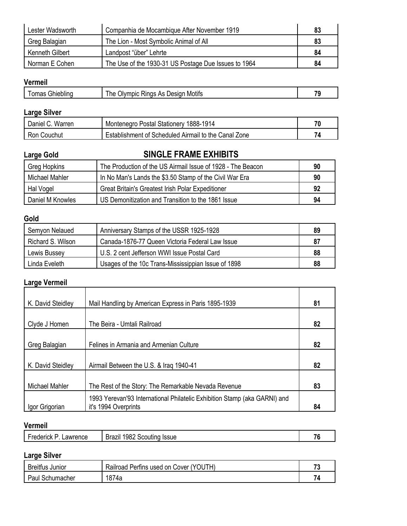| Lester Wadsworth | Companhia de Mocambique After November 1919          | 83 |
|------------------|------------------------------------------------------|----|
| Greg Balagian    | The Lion - Most Symbolic Animal of All               | 83 |
| Kenneth Gilbert  | Landpost "über" Lehrte                               | 84 |
| Norman E Cohen   | The Use of the 1930-31 US Postage Due Issues to 1964 | 84 |

## **Vermeil**

| - | مستحلمته المنافي<br>omas<br>uller.<br>ли | Motifs<br>he<br>. Jivr<br>Desiar<br>As<br>mbio<br>≺ına: | - |
|---|------------------------------------------|---------------------------------------------------------|---|
|   |                                          |                                                         |   |

## **Large Silver**

| Warren<br>Daniel '<br>$\cdot$ U. | Montenegro Postal Stationery<br>1888-1914                 | 70 |
|----------------------------------|-----------------------------------------------------------|----|
| Ron<br>Couchut                   | t of Scheduled Airmail to the Canal Zone<br>≞stablishment | 74 |

# **Large Gold SINGLE FRAME EXHIBITS** Greg Hopkins The Production of the US Airmail Issue of 1928 - The Beacon **90** Michael Mahler **In No Man's Lands the \$3.50 Stamp of the Civil War Era 190** Hal Vogel Great Britain's Greatest Irish Polar Expeditioner **92** Daniel M Knowles US Demonitization and Transition to the 1861 Issue **94**

## **Gold**

| Semyon Nelaued    | Anniversary Stamps of the USSR 1925-1928            | 89 |
|-------------------|-----------------------------------------------------|----|
| Richard S. Wilson | Canada-1876-77 Queen Victoria Federal Law Issue     | 87 |
| Lewis Bussey      | U.S. 2 cent Jefferson WWI Issue Postal Card         | 88 |
| Linda Eveleth     | Usages of the 10c Trans-Mississippian Issue of 1898 | 88 |

## **Large Vermeil**

| K. David Steidley | Mail Handling by American Express in Paris 1895-1939                      | 81 |
|-------------------|---------------------------------------------------------------------------|----|
|                   |                                                                           |    |
| Clyde J Homen     | The Beira - Umtali Railroad                                               | 82 |
|                   |                                                                           |    |
| Greg Balagian     | Felines in Armania and Armenian Culture                                   | 82 |
|                   |                                                                           |    |
| K. David Steidley | Airmail Between the U.S. & Iraq 1940-41                                   | 82 |
|                   |                                                                           |    |
| Michael Mahler    | The Rest of the Story: The Remarkable Nevada Revenue                      | 83 |
|                   | 1993 Yerevan'93 International Philatelic Exhibition Stamp (aka GARNI) and |    |
| Igor Grigorian    | it's 1994 Overprints                                                      | 84 |

# **Vermeil**

| Lawrence<br>-rederick | 1982<br>-<br>Brazil<br>Scouting<br><b>Issue</b> | $\sim$<br>. v |
|-----------------------|-------------------------------------------------|---------------|
|                       |                                                 |               |

# **Large Silver**

| <b>Breitfus</b><br>Junior | JTH`<br>′Y∩I.<br>Railroad<br>Perfins used on $\prime$<br>Cover | - -<br>- |
|---------------------------|----------------------------------------------------------------|----------|
| Paul<br>Schumacher        | 1874a                                                          |          |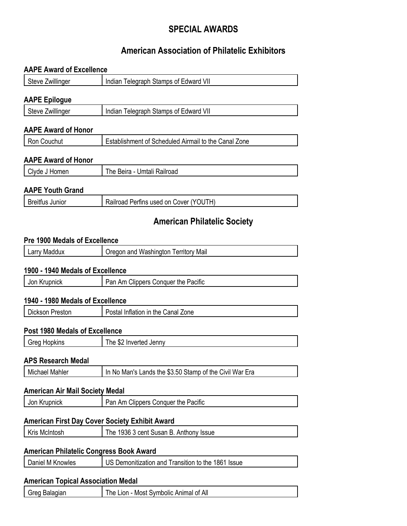# **SPECIAL AWARDS**

# **American Association of Philatelic Exhibitors**

#### **AAPE Award of Excellence**

| Steve Zwillinger     | Indian Telegraph Stamps of Edward VII |  |
|----------------------|---------------------------------------|--|
| <b>AAPE Epilogue</b> |                                       |  |
| Steve Zwillinger     | Indian Telegraph Stamps of Edward VII |  |

| Steve Zwillinger | Indian Telegraph Stamps of Edward VII |
|------------------|---------------------------------------|
|                  |                                       |

## **AAPE Award of Honor**

| Ron Couchut | Establishment of Scheduled Airmail to the Canal Zone |
|-------------|------------------------------------------------------|
|             |                                                      |

#### **AAPE Award of Honor**

| Clyde J Homen | The Beira - Umtali Railroad |
|---------------|-----------------------------|
|               |                             |

#### **AAPE Youth Grand**

| <b>Breitfus Junior</b> | Railroad Perfins used on Cover (YOUTH) |
|------------------------|----------------------------------------|
|------------------------|----------------------------------------|

## **American Philatelic Society**

#### **Pre 1900 Medals of Excellence**

| arry<br>Maddux<br>-- | Washington<br>Mail<br>l erritorv<br>Jregon and |
|----------------------|------------------------------------------------|
|                      |                                                |

#### **1900 - 1940 Medals of Excellence**

| Jon Krupnick | Clippers Conquer the Pacific<br>$\mathsf{v}_{\mathsf{an}}$ ,<br>Am |
|--------------|--------------------------------------------------------------------|
|              |                                                                    |

#### **1940 - 1980 Medals of Excellence**

| Dickson Preston | Postal Inflation in the Canal Zone |
|-----------------|------------------------------------|
|-----------------|------------------------------------|

#### **Post 1980 Medals of Excellence**

| Greg Hopkins | Inverted Jenny<br>he<br>.১∠ |
|--------------|-----------------------------|
|              |                             |

#### **APS Research Medal**

#### **American Air Mail Society Medal**

| Krupnick<br>Jon | Clippers Conquer the Pacific<br>Pan,<br>Αm |
|-----------------|--------------------------------------------|
|                 |                                            |

## **American First Day Cover Society Exhibit Award**

| <b>Kris McIntosh</b> | The 1936 3 cent Susan B. Anthony Issue |
|----------------------|----------------------------------------|
|                      |                                        |

## **American Philatelic Congress Book Award**

| Daniel M Knowles | US Demonitization and Transition to the 1861 Issue |
|------------------|----------------------------------------------------|
|                  |                                                    |

#### **American Topical Association Medal**

| Animal<br>0t<br>Most<br>frec<br>LIOP.<br>he | Balagian | All<br>Svmbolic |
|---------------------------------------------|----------|-----------------|
|---------------------------------------------|----------|-----------------|